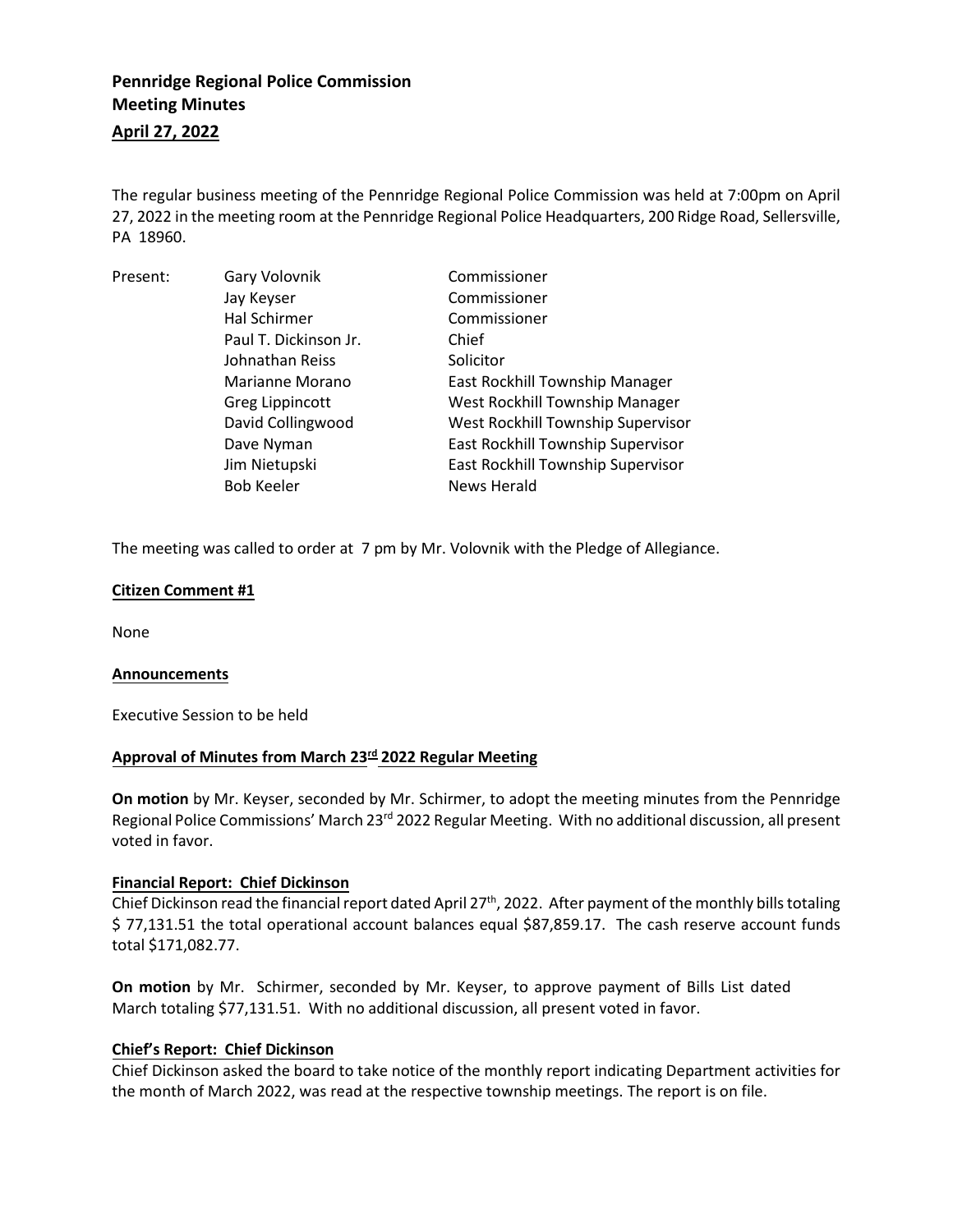# **Pennridge Regional Police Commission Meeting Minutes**

## **April 27, 2022**

The regular business meeting of the Pennridge Regional Police Commission was held at 7:00pm on April 27, 2022 in the meeting room at the Pennridge Regional Police Headquarters, 200 Ridge Road, Sellersville, PA 18960.

| Present: | Gary Volovnik         | Commissioner                      |
|----------|-----------------------|-----------------------------------|
|          | Jay Keyser            | Commissioner                      |
|          | <b>Hal Schirmer</b>   | Commissioner                      |
|          | Paul T. Dickinson Jr. | Chief                             |
|          | Johnathan Reiss       | Solicitor                         |
|          | Marianne Morano       | East Rockhill Township Manager    |
|          | Greg Lippincott       | West Rockhill Township Manager    |
|          | David Collingwood     | West Rockhill Township Supervisor |
|          | Dave Nyman            | East Rockhill Township Supervisor |
|          | Jim Nietupski         | East Rockhill Township Supervisor |
|          | <b>Bob Keeler</b>     | News Herald                       |

The meeting was called to order at 7 pm by Mr. Volovnik with the Pledge of Allegiance.

## **Citizen Comment #1**

None

## **Announcements**

Executive Session to be held

## **Approval of Minutes from March 23 rd 2022 Regular Meeting**

**On motion** by Mr. Keyser, seconded by Mr. Schirmer, to adopt the meeting minutes from the Pennridge Regional Police Commissions' March 23<sup>rd</sup> 2022 Regular Meeting. With no additional discussion, all present voted in favor.

## **Financial Report: Chief Dickinson**

Chief Dickinson read the financial report dated April 27<sup>th</sup>, 2022. After payment of the monthly bills totaling \$ 77,131.51 the total operational account balances equal \$87,859.17. The cash reserve account funds total \$171,082.77.

**On motion** by Mr. Schirmer, seconded by Mr. Keyser, to approve payment of Bills List dated March totaling \$77,131.51. With no additional discussion, all present voted in favor.

## **Chief's Report: Chief Dickinson**

Chief Dickinson asked the board to take notice of the monthly report indicating Department activities for the month of March 2022, was read at the respective township meetings. The report is on file.